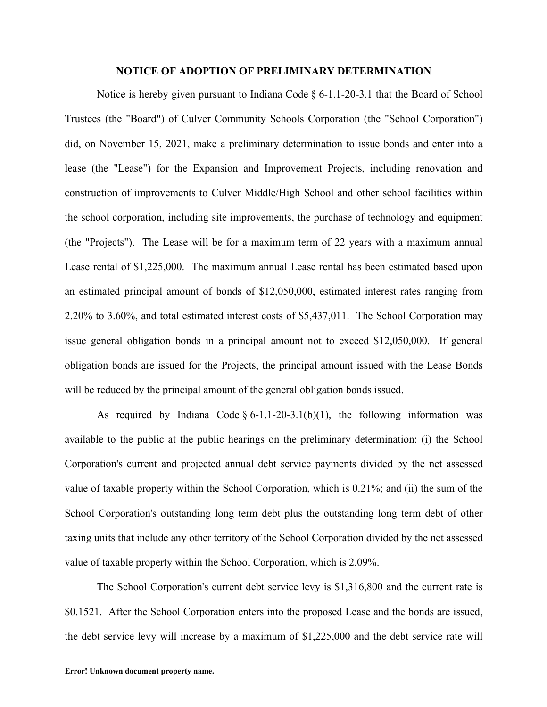## **NOTICE OF ADOPTION OF PRELIMINARY DETERMINATION**

Notice is hereby given pursuant to Indiana Code § 6-1.1-20-3.1 that the Board of School Trustees (the "Board") of Culver Community Schools Corporation (the "School Corporation") did, on November 15, 2021, make a preliminary determination to issue bonds and enter into a lease (the "Lease") for the Expansion and Improvement Projects, including renovation and construction of improvements to Culver Middle/High School and other school facilities within the school corporation, including site improvements, the purchase of technology and equipment (the "Projects"). The Lease will be for a maximum term of 22 years with a maximum annual Lease rental of \$1,225,000. The maximum annual Lease rental has been estimated based upon an estimated principal amount of bonds of \$12,050,000, estimated interest rates ranging from 2.20% to 3.60%, and total estimated interest costs of \$5,437,011. The School Corporation may issue general obligation bonds in a principal amount not to exceed \$12,050,000. If general obligation bonds are issued for the Projects, the principal amount issued with the Lease Bonds will be reduced by the principal amount of the general obligation bonds issued.

As required by Indiana Code  $\S 6$ -1.1-20-3.1(b)(1), the following information was available to the public at the public hearings on the preliminary determination: (i) the School Corporation's current and projected annual debt service payments divided by the net assessed value of taxable property within the School Corporation, which is 0.21%; and (ii) the sum of the School Corporation's outstanding long term debt plus the outstanding long term debt of other taxing units that include any other territory of the School Corporation divided by the net assessed value of taxable property within the School Corporation, which is 2.09%.

The School Corporation's current debt service levy is \$1,316,800 and the current rate is \$0.1521. After the School Corporation enters into the proposed Lease and the bonds are issued, the debt service levy will increase by a maximum of \$1,225,000 and the debt service rate will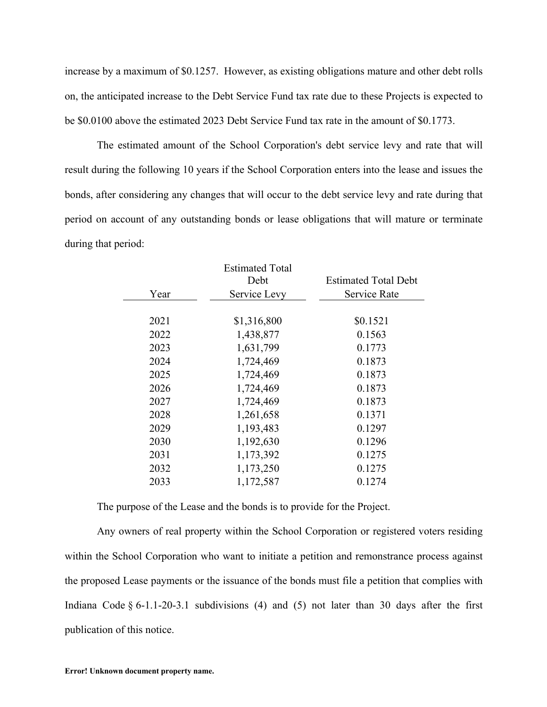increase by a maximum of \$0.1257. However, as existing obligations mature and other debt rolls on, the anticipated increase to the Debt Service Fund tax rate due to these Projects is expected to be \$0.0100 above the estimated 2023 Debt Service Fund tax rate in the amount of \$0.1773.

The estimated amount of the School Corporation's debt service levy and rate that will result during the following 10 years if the School Corporation enters into the lease and issues the bonds, after considering any changes that will occur to the debt service levy and rate during that period on account of any outstanding bonds or lease obligations that will mature or terminate during that period:

|      | <b>Estimated Total</b> |                             |
|------|------------------------|-----------------------------|
|      | Debt                   | <b>Estimated Total Debt</b> |
| Year | Service Levy           | Service Rate                |
|      |                        |                             |
| 2021 | \$1,316,800            | \$0.1521                    |
| 2022 | 1,438,877              | 0.1563                      |
| 2023 | 1,631,799              | 0.1773                      |
| 2024 | 1,724,469              | 0.1873                      |
| 2025 | 1,724,469              | 0.1873                      |
| 2026 | 1,724,469              | 0.1873                      |
| 2027 | 1,724,469              | 0.1873                      |
| 2028 | 1,261,658              | 0.1371                      |
| 2029 | 1,193,483              | 0.1297                      |
| 2030 | 1,192,630              | 0.1296                      |
| 2031 | 1,173,392              | 0.1275                      |
| 2032 | 1,173,250              | 0.1275                      |
| 2033 | 1,172,587              | 0.1274                      |

The purpose of the Lease and the bonds is to provide for the Project.

Any owners of real property within the School Corporation or registered voters residing within the School Corporation who want to initiate a petition and remonstrance process against the proposed Lease payments or the issuance of the bonds must file a petition that complies with Indiana Code  $\S 6$ -1.1-20-3.1 subdivisions (4) and (5) not later than 30 days after the first publication of this notice.